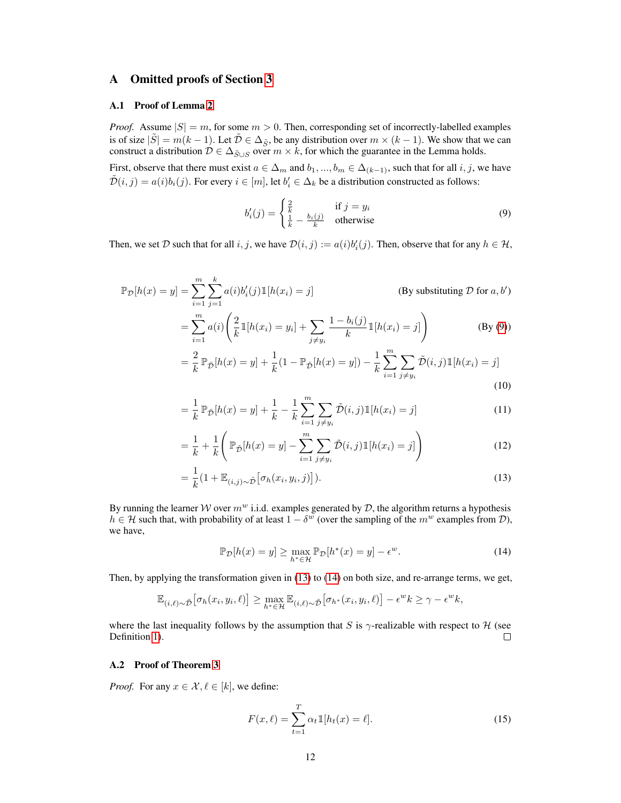# A Omitted proofs of Section [3](#page--1-0)

## A.1 Proof of Lemma [2](#page--1-1)

*Proof.* Assume  $|S| = m$ , for some  $m > 0$ . Then, corresponding set of incorrectly-labelled examples is of size  $|\tilde{S}| = m(k-1)$ . Let  $\tilde{D} \in \Delta_{\tilde{S}}$ , be any distribution over  $m \times (k-1)$ . We show that we can construct a distribution  $D \in \Delta_{\tilde{S}\cup S}$  over  $m \times k$ , for which the guarantee in the Lemma holds.

First, observe that there must exist  $a \in \Delta_m$  and  $b_1, ..., b_m \in \Delta_{(k-1)}$ , such that for all  $i, j$ , we have  $\tilde{\mathcal{D}}(i,j) = a(i)b_i(j)$ . For every  $i \in [m]$ , let  $b'_i \in \Delta_k$  be a distribution constructed as follows:

<span id="page-0-0"></span>
$$
b'_{i}(j) = \begin{cases} \frac{2}{k} & \text{if } j = y_{i} \\ \frac{1}{k} - \frac{b_{i}(j)}{k} & \text{otherwise} \end{cases}
$$
(9)

Then, we set  $D$  such that for all  $i, j$ , we have  $D(i, j) := a(i)b'_i(j)$ . Then, observe that for any  $h \in H$ ,

$$
\mathbb{P}_{\mathcal{D}}[h(x) = y] = \sum_{i=1}^{m} \sum_{j=1}^{k} a(i)b'_{i}(j) \mathbb{1}[h(x_{i}) = j]
$$
\n(By substituting  $\mathcal{D}$  for  $a, b'$ )\n
$$
= \sum_{i=1}^{m} a(i) \left( \frac{2}{k} \mathbb{1}[h(x_{i}) = y_{i}] + \sum_{j \neq y_{i}} \frac{1 - b_{i}(j)}{k} \mathbb{1}[h(x_{i}) = j] \right)
$$
\n(By (9))\n
$$
= \frac{2}{k} \mathbb{P}_{\tilde{\mathcal{D}}}[h(x) = y] + \frac{1}{k} (1 - \mathbb{P}_{\tilde{\mathcal{D}}}[h(x) = y]) - \frac{1}{k} \sum_{i=1}^{m} \sum_{j=1}^{m} \tilde{\mathcal{D}}(i, j) \mathbb{1}[h(x_{i}) = j]
$$

$$
= \frac{1}{k} \mathbb{P}_{\tilde{\mathcal{D}}}[h(x) = y] + \frac{1}{k} (1 - \mathbb{P}_{\tilde{\mathcal{D}}}[h(x) = y]) - \frac{1}{k} \sum_{i=1}^{k} \sum_{j \neq y_i} \mathcal{D}(i, j) \mathbb{I}[h(x_i) = j]
$$
\n(10)

$$
= \frac{1}{k} \mathbb{P}_{\tilde{\mathcal{D}}}[h(x) = y] + \frac{1}{k} - \frac{1}{k} \sum_{i=1}^{m} \sum_{j \neq y_i} \tilde{\mathcal{D}}(i, j) \mathbb{1}[h(x_i) = j] \tag{11}
$$

$$
= \frac{1}{k} + \frac{1}{k} \left( \mathbb{P}_{\tilde{D}}[h(x) = y] - \sum_{i=1}^{m} \sum_{j \neq y_i} \tilde{D}(i, j) \mathbb{1}[h(x_i) = j] \right)
$$
(12)

$$
=\frac{1}{k}\left(1+\mathbb{E}_{(i,j)\sim\tilde{\mathcal{D}}}[\sigma_h(x_i,y_i,j)]\right).
$$
\n(13)

By running the learner W over  $m^w$  i.i.d. examples generated by  $\mathcal D$ , the algorithm returns a hypothesis  $h \in \mathcal{H}$  such that, with probability of at least  $1 - \delta^w$  (over the sampling of the  $m^w$  examples from  $\mathcal{D}$ ), we have,

<span id="page-0-2"></span><span id="page-0-1"></span>
$$
\mathbb{P}_{\mathcal{D}}[h(x) = y] \ge \max_{h^* \in \mathcal{H}} \mathbb{P}_{\mathcal{D}}[h^*(x) = y] - \epsilon^w.
$$
 (14)

Then, by applying the transformation given in [\(13\)](#page-0-1) to [\(14\)](#page-0-2) on both size, and re-arrange terms, we get,

$$
\mathbb{E}_{(i,\ell)\sim\tilde{\mathcal{D}}}[\sigma_h(x_i,y_i,\ell)] \geq \max_{h^*\in\mathcal{H}} \mathbb{E}_{(i,\ell)\sim\tilde{\mathcal{D}}}[\sigma_{h^*}(x_i,y_i,\ell)] - \epsilon^w k \geq \gamma - \epsilon^w k,
$$

where the last inequality follows by the assumption that S is  $\gamma$ -realizable with respect to H (see Definition [1\)](#page--1-2).  $\Box$ 

## A.2 Proof of Theorem [3](#page--1-3)

*Proof.* For any  $x \in \mathcal{X}, \ell \in [k]$ , we define:

$$
F(x,\ell) = \sum_{t=1}^{T} \alpha_t \mathbb{1}[h_t(x) = \ell].
$$
 (15)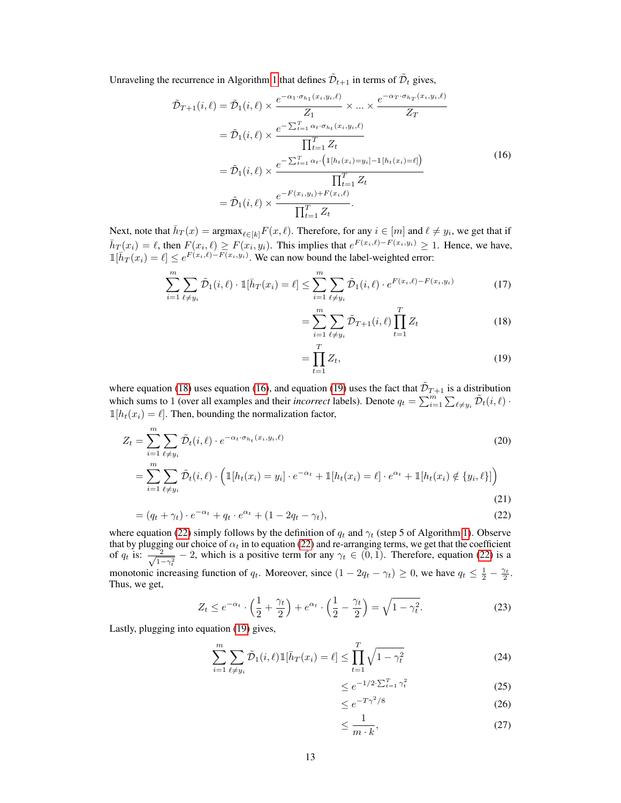Unraveling the recurrence in Algorithm [1](#page--1-4) that defines  $\tilde{\mathcal{D}}_{t+1}$  in terms of  $\tilde{\mathcal{D}}_t$  gives,

$$
\tilde{\mathcal{D}}_{T+1}(i,\ell) = \tilde{\mathcal{D}}_1(i,\ell) \times \frac{e^{-\alpha_1 \cdot \sigma_{h_1}(x_i, y_i, \ell)}}{Z_1} \times \dots \times \frac{e^{-\alpha_T \cdot \sigma_{h_T}(x_i, y_i, \ell)}}{Z_T}
$$
\n
$$
= \tilde{\mathcal{D}}_1(i,\ell) \times \frac{e^{-\sum_{t=1}^T \alpha_t \cdot \sigma_{h_t}(x_i, y_i, \ell)}}{\prod_{t=1}^T Z_t}
$$
\n
$$
= \tilde{\mathcal{D}}_1(i,\ell) \times \frac{e^{-\sum_{t=1}^T \alpha_t \cdot (\mathbb{1}[h_t(x_i) = y_i] - \mathbb{1}[h_t(x_i) = \ell])}}}{\prod_{t=1}^T Z_t}
$$
\n
$$
= \tilde{\mathcal{D}}_1(i,\ell) \times \frac{e^{-F(x_i, y_i) + F(x_i, \ell)}}{\prod_{t=1}^T Z_t}.
$$
\n(16)

Next, note that  $\bar{h}_T(x) = \text{argmax}_{\ell \in [k]} F(x, \ell)$ . Therefore, for any  $i \in [m]$  and  $\ell \neq y_i$ , we get that if  $\bar{h}_T(x_i) = \ell$ , then  $F(x_i, \ell) \geq F(x_i, y_i)$ . This implies that  $e^{F(x_i, \ell) - F(x_i, y_i)} \geq 1$ . Hence, we have,  $\mathbb{1}[h_T(x_i) = \ell] \leq e^{F(x_i,\ell) - F(x_i,y_i)}$ . We can now bound the label-weighted error:

$$
\sum_{i=1}^{m} \sum_{\ell \neq y_i} \tilde{\mathcal{D}}_1(i,\ell) \cdot \mathbb{1}[\bar{h}_T(x_i) = \ell] \le \sum_{i=1}^{m} \sum_{\ell \neq y_i} \tilde{\mathcal{D}}_1(i,\ell) \cdot e^{F(x_i,\ell) - F(x_i,y_i)}
$$
(17)

<span id="page-1-1"></span>
$$
= \sum_{i=1}^{m} \sum_{\ell \neq y_i} \tilde{\mathcal{D}}_{T+1}(i,\ell) \prod_{t=1}^{T} Z_t
$$
 (18)

<span id="page-1-2"></span><span id="page-1-0"></span>
$$
=\prod_{t=1}^{T}Z_t,\tag{19}
$$

where equation [\(18\)](#page-1-0) uses equation [\(16\)](#page-1-1), and equation [\(19\)](#page-1-2) uses the fact that  $\tilde{\mathcal{D}}_{T+1}$  is a distribution which sums to 1 (over all examples and their *incorrect* labels). Denote  $q_t = \sum_{i=1}^m \sum_{\ell \neq y_i} \tilde{\mathcal{D}}_t(i,\ell)$ .  $\mathbbm{1}[h_t(x_i) = \ell].$  Then, bounding the normalization factor,

$$
Z_t = \sum_{i=1}^m \sum_{\ell \neq y_i} \tilde{\mathcal{D}}_t(i,\ell) \cdot e^{-\alpha_t \cdot \sigma_{h_t}(x_i, y_i, \ell)} \tag{20}
$$

$$
= \sum_{i=1}^m \sum_{\ell \neq y_i} \tilde{\mathcal{D}}_t(i,\ell) \cdot \left( \mathbb{1}[h_t(x_i) = y_i] \cdot e^{-\alpha_t} + \mathbb{1}[h_t(x_i) = \ell] \cdot e^{\alpha_t} + \mathbb{1}[h_t(x_i) \notin \{y_i, \ell\}]\right)
$$

$$
= \sum_{i=1}^{N} \sum_{\ell \neq y_i} \tilde{\mathcal{D}}_t(i,\ell) \cdot \left( \mathbb{1}[h_t(x_i) = y_i] \cdot e^{-\alpha_t} + \mathbb{1}[h_t(x_i) = \ell] \cdot e^{\alpha_t} + \mathbb{1}[h_t(x_i) \notin \{y_i, \ell\}] \right)
$$
\n(21)

$$
= (q_t + \gamma_t) \cdot e^{-\alpha_t} + q_t \cdot e^{\alpha_t} + (1 - 2q_t - \gamma_t), \tag{22}
$$

where equation [\(22\)](#page-1-3) simply follows by the definition of  $q_t$  and  $\gamma_t$  (step 5 of Algorithm [1\)](#page--1-4). Observe that by plugging our choice of  $\alpha_t$  in to equation [\(22\)](#page-1-3) and re-arranging terms, we get that the coefficient of  $q_t$  is:  $\frac{2}{\sqrt{1}}$  $\frac{2}{1-\gamma_t^2}$  – 2, which is a positive term for any  $\gamma_t \in (0,1)$ . Therefore, equation [\(22\)](#page-1-3) is a monotonic increasing function of  $q_t$ . Moreover, since  $(1 - 2q_t - \gamma_t) \ge 0$ , we have  $q_t \le \frac{1}{2} - \frac{\gamma_t}{2}$ . Thus, we get,

$$
Z_t \le e^{-\alpha_t} \cdot \left(\frac{1}{2} + \frac{\gamma_t}{2}\right) + e^{\alpha_t} \cdot \left(\frac{1}{2} - \frac{\gamma_t}{2}\right) = \sqrt{1 - \gamma_t^2}.\tag{23}
$$

Lastly, plugging into equation [\(19\)](#page-1-2) gives,

$$
\sum_{i=1}^{m} \sum_{\ell \neq y_i} \tilde{\mathcal{D}}_1(i,\ell) \mathbb{1}[\bar{h}_T(x_i) = \ell] \le \prod_{t=1}^{T} \sqrt{1 - \gamma_t^2}
$$
(24)

<span id="page-1-7"></span><span id="page-1-3"></span>
$$
\leq e^{-1/2 \cdot \sum_{t=1}^{T} \gamma_t^2} \tag{25}
$$

<span id="page-1-5"></span><span id="page-1-4"></span>
$$
\leq e^{-T\gamma^2/8} \tag{26}
$$

<span id="page-1-6"></span>
$$
\leq \frac{1}{m \cdot k},\tag{27}
$$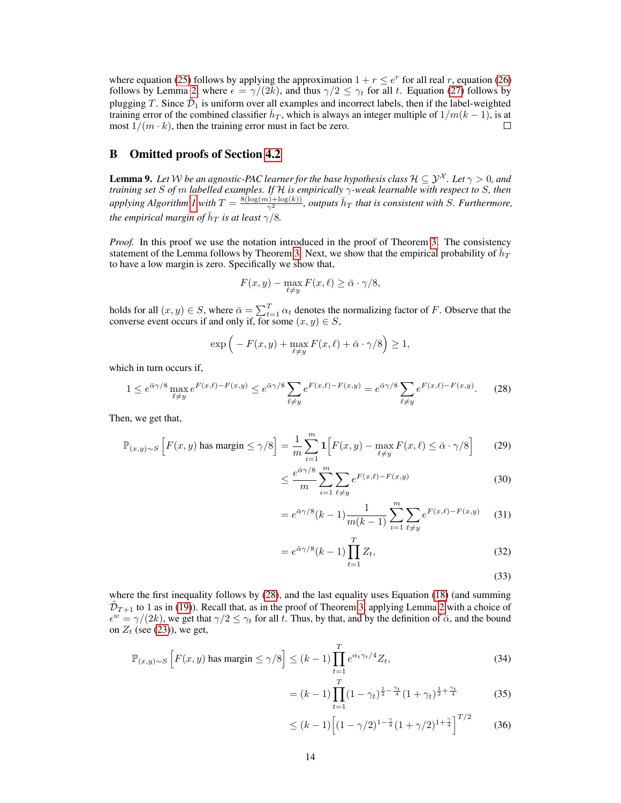where equation [\(25\)](#page-1-4) follows by applying the approximation  $1 + r \le e^r$  for all real r, equation [\(26\)](#page-1-5) follows by Lemma [2,](#page--1-1) where  $\epsilon = \gamma/(2k)$ , and thus  $\gamma/2 \leq \gamma_t$  for all t. Equation [\(27\)](#page-1-6) follows by plugging T. Since  $\tilde{\mathcal{D}}_1$  is uniform over all examples and incorrect labels, then if the label-weighted training error of the combined classifier  $\bar{h}_T$ , which is always an integer multiple of  $1/m(k-1)$ , is at most  $1/(m \cdot k)$ , then the training error must in fact be zero.  $\Box$ 

## B Omitted proofs of Section [4.2](#page--1-5)

<span id="page-2-2"></span>**Lemma 9.** Let W be an agnostic-PAC learner for the base hypothesis class  $\mathcal{H} \subseteq \mathcal{Y}^{\mathcal{X}}$ . Let  $\gamma > 0$ , and *training set* S *of* m *labelled examples. If* H *is empirically* γ*-weak learnable with respect to* S*, then applying Algorithm [1](#page--1-4) with*  $T = \frac{8(\log(m) + \log(k))}{\gamma^2}$ , *outputs*  $\bar{h}_T$  *that is consistent with S. Furthermore,* the empirical margin of  $\bar{h}_T$  is at least  $\gamma^{'}$ /8.

*Proof.* In this proof we use the notation introduced in the proof of Theorem [3.](#page--1-3) The consistency statement of the Lemma follows by Theorem [3.](#page--1-3) Next, we show that the empirical probability of  $\vec{h}_T$ to have a low margin is zero. Specifically we show that,

$$
F(x, y) - \max_{\ell \neq y} F(x, \ell) \ge \bar{\alpha} \cdot \gamma/8,
$$

holds for all  $(x, y) \in S$ , where  $\bar{\alpha} = \sum_{t=1}^{T} \alpha_t$  denotes the normalizing factor of F. Observe that the converse event occurs if and only if, for some  $(x, y) \in S$ ,

<span id="page-2-0"></span>
$$
\exp\left(-F(x,y)+\max_{\ell\neq y}F(x,\ell)+\bar{\alpha}\cdot\gamma/8\right)\geq 1,
$$

which in turn occurs if,

$$
1 \le e^{\bar{\alpha}\gamma/8} \max_{\ell \neq y} e^{F(x,\ell) - F(x,y)} \le e^{\bar{\alpha}\gamma/8} \sum_{\ell \neq y} e^{F(x,\ell) - F(x,y)} = e^{\bar{\alpha}\gamma/8} \sum_{\ell \neq y} e^{F(x,\ell) - F(x,y)}.\tag{28}
$$

Then, we get that,

$$
\mathbb{P}_{(x,y)\sim S}\left[F(x,y)\text{ has margin}\leq\gamma/8\right]=\frac{1}{m}\sum_{i=1}^{m}\mathbf{1}\left[F(x,y)-\max_{\ell\neq y}F(x,\ell)\leq\bar{\alpha}\cdot\gamma/8\right]
$$
(29)

$$
\leq \frac{e^{\bar{\alpha}\gamma/8}}{m} \sum_{i=1}^{m} \sum_{\ell \neq y} e^{F(x,\ell) - F(x,y)} \tag{30}
$$

$$
= e^{\bar{\alpha}\gamma/8}(k-1)\frac{1}{m(k-1)}\sum_{i=1}^{m}\sum_{\ell\neq y}e^{F(x,\ell)-F(x,y)}\qquad(31)
$$

$$
=e^{\bar{\alpha}\gamma/8}(k-1)\prod_{t=1}^{T}Z_{t},
$$
\n(32)

<span id="page-2-1"></span>(33)

where the first inequality follows by [\(28\)](#page-2-0), and the last equality uses Equation [\(18\)](#page-1-0) (and summing  $\tilde{\mathcal{D}}_{T+1}$  to 1 as in [\(19\)](#page-1-2)). Recall that, as in the proof of Theorem [3,](#page--1-3) applying Lemma [2](#page--1-1) with a choice of  $\epsilon^w = \gamma/(2k)$ , we get that  $\gamma/2 \leq \gamma_t$  for all t. Thus, by that, and by the definition of  $\bar{\alpha}$ , and the bound on  $Z_t$  (see [\(23\)](#page-1-7)), we get,

$$
\mathbb{P}_{(x,y)\sim S}\left[F(x,y)\text{ has margin}\leq \gamma/8\right] \leq (k-1)\prod_{t=1}^{T}e^{\alpha_t\gamma_t/4}Z_t,
$$
\n(34)

$$
= (k-1) \prod_{t=1}^{T} (1 - \gamma_t)^{\frac{1}{2} - \frac{\gamma_t}{4}} (1 + \gamma_t)^{\frac{1}{2} + \frac{\gamma_t}{4}}
$$
(35)

$$
\leq (k-1)\left[ (1-\gamma/2)^{1-\frac{\gamma}{4}} (1+\gamma/2)^{1+\frac{\gamma}{4}} \right]^{T/2} \tag{36}
$$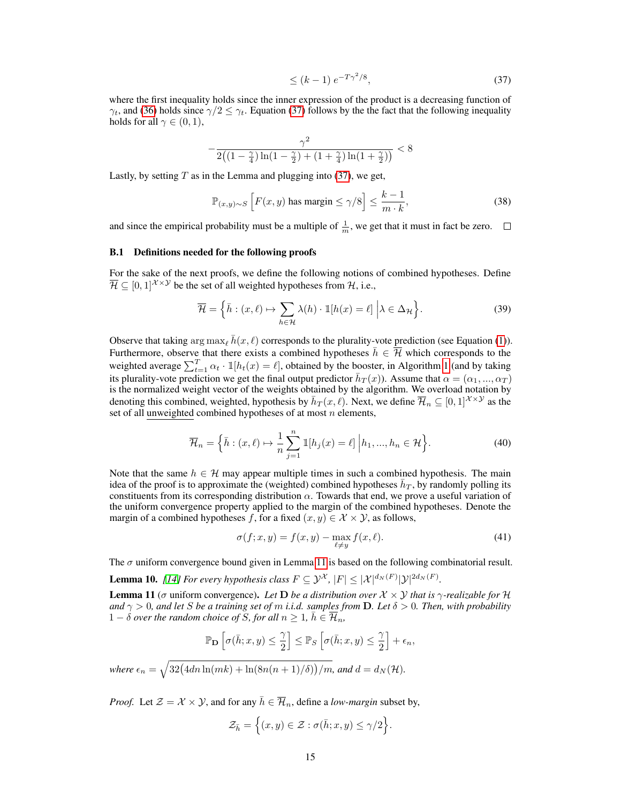<span id="page-3-0"></span>
$$
\leq (k-1) e^{-T\gamma^2/8},\tag{37}
$$

where the first inequality holds since the inner expression of the product is a decreasing function of  $\gamma_t$ , and [\(36\)](#page-2-1) holds since  $\gamma/2 \leq \gamma_t$ . Equation [\(37\)](#page-3-0) follows by the the fact that the following inequality holds for all  $\gamma \in (0, 1)$ ,

$$
-\frac{\gamma^2}{2\left(\left(1-\frac{\gamma}{4}\right)\ln\left(1-\frac{\gamma}{2}\right)+\left(1+\frac{\gamma}{4}\right)\ln\left(1+\frac{\gamma}{2}\right)\right)} < 8
$$

Lastly, by setting  $T$  as in the Lemma and plugging into [\(37\)](#page-3-0), we get,

$$
\mathbb{P}_{(x,y)\sim S}\left[F(x,y)\text{ has margin}\leq \gamma/8\right] \leq \frac{k-1}{m\cdot k},\tag{38}
$$

and since the empirical probability must be a multiple of  $\frac{1}{m}$ , we get that it must in fact be zero.

#### <span id="page-3-3"></span>B.1 Definitions needed for the following proofs

For the sake of the next proofs, we define the following notions of combined hypotheses. Define  $\overline{\mathcal{H}} \subseteq [0,1]^{\mathcal{X} \times \mathcal{Y}}$  be the set of all weighted hypotheses from H, i.e.,

$$
\overline{\mathcal{H}} = \left\{ \bar{h} : (x, \ell) \mapsto \sum_{h \in \mathcal{H}} \lambda(h) \cdot \mathbb{1}[h(x) = \ell] \middle| \lambda \in \Delta_{\mathcal{H}} \right\}.
$$
\n(39)

Observe that taking  $\arg \max_{\ell} \bar{h}(x, \ell)$  corresponds to the plurality-vote prediction (see Equation [\(1\)](#page--1-6)). Furthermore, observe that there exists a combined hypotheses  $\bar{h} \in \overline{\mathcal{H}}$  which corresponds to the weighted average  $\sum_{t=1}^{T} \alpha_t \cdot 1[h_t(x) = \ell]$  $\sum_{t=1}^{T} \alpha_t \cdot 1[h_t(x) = \ell]$  $\sum_{t=1}^{T} \alpha_t \cdot 1[h_t(x) = \ell]$ , obtained by the booster, in Algorithm 1 (and by taking its plurality-vote prediction we get the final output predictor  $\bar{h}_T(x)$ ). Assume that  $\alpha = (\alpha_1, ..., \alpha_T)$ is the normalized weight vector of the weights obtained by the algorithm. We overload notation by denoting this combined, weighted, hypothesis by  $\bar{h}_T(x,\ell)$ . Next, we define  $\bar{\mathcal{H}}_n \subseteq [0,1]^{\mathcal{X} \times \mathcal{Y}}$  as the set of all unweighted combined hypotheses of at most  $n$  elements,

<span id="page-3-4"></span>
$$
\overline{\mathcal{H}}_n = \left\{ \overline{h} : (x, \ell) \mapsto \frac{1}{n} \sum_{j=1}^n \mathbb{1}[h_j(x) = \ell] \middle| h_1, \dots, h_n \in \mathcal{H} \right\}.
$$
\n(40)

Note that the same  $h \in \mathcal{H}$  may appear multiple times in such a combined hypothesis. The main idea of the proof is to approximate the (weighted) combined hypotheses  $\bar{h}_T$ , by randomly polling its constituents from its corresponding distribution  $\alpha$ . Towards that end, we prove a useful variation of the uniform convergence property applied to the margin of the combined hypotheses. Denote the margin of a combined hypotheses f, for a fixed  $(x, y) \in \mathcal{X} \times \mathcal{Y}$ , as follows,

<span id="page-3-5"></span>
$$
\sigma(f; x, y) = f(x, y) - \max_{\ell \neq y} f(x, \ell).
$$
\n(41)

The  $\sigma$  uniform convergence bound given in Lemma [11](#page-3-1) is based on the following combinatorial result.

<span id="page-3-2"></span>**Lemma 10.** [\[14\]](#page--1-7) For every hypothesis class  $F \subseteq \mathcal{Y}^{\mathcal{X}}$ ,  $|F| \leq |\mathcal{X}|^{d_N(F)} |\mathcal{Y}|^{2d_N(F)}$ .

<span id="page-3-1"></span>**Lemma 11** ( $\sigma$  uniform convergence). Let **D** be a distribution over  $\mathcal{X} \times \mathcal{Y}$  that is  $\gamma$ -realizable for H *and*  $\gamma > 0$ , and let *S* be a training set of m *i.i.d.* samples from **D**. Let  $\delta > 0$ . Then, with probability  $1 - \delta$  *over the random choice of S, for all*  $n \geq 1$ ,  $\overline{h} \in \overline{\mathcal{H}}_n$ ,

$$
\mathbb{P}_{\mathbf{D}}\left[\sigma(\bar{h};x,y) \leq \frac{\gamma}{2}\right] \leq \mathbb{P}_{S}\left[\sigma(\bar{h};x,y) \leq \frac{\gamma}{2}\right] + \epsilon_{n},
$$
  
where  $\epsilon_{n} = \sqrt{32(4dn\ln(mk) + \ln(8n(n+1)/\delta))/m}$ , and  $d = d_{N}(\mathcal{H})$ .

*Proof.* Let  $\mathcal{Z} = \mathcal{X} \times \mathcal{Y}$ , and for any  $\bar{h} \in \overline{\mathcal{H}}_n$ , define a *low-margin* subset by,

$$
\mathcal{Z}_{\bar{h}} = \Big\{ (x, y) \in \mathcal{Z} : \sigma(\bar{h}; x, y) \le \gamma/2 \Big\}.
$$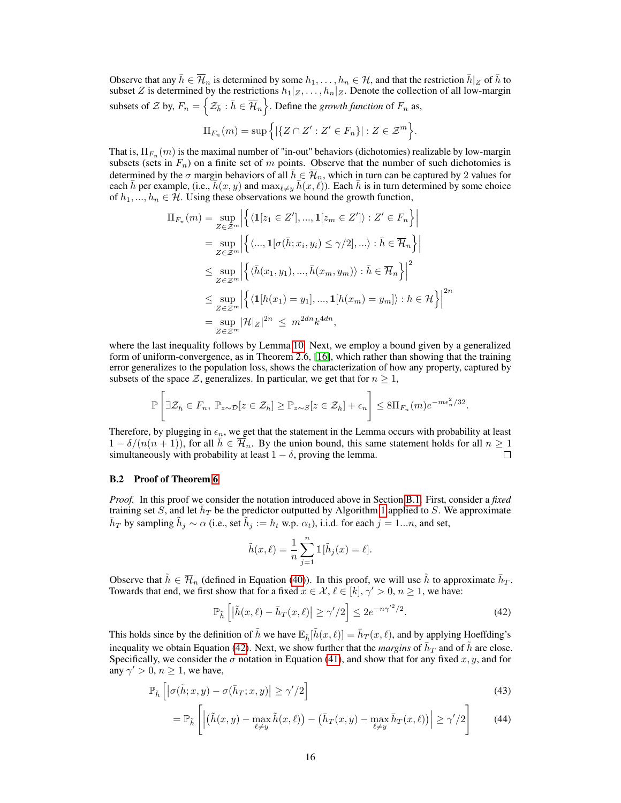Observe that any  $\bar{h} \in \overline{\mathcal{H}}_n$  is determined by some  $h_1, \ldots, h_n \in \mathcal{H}$ , and that the restriction  $\bar{h}|_Z$  of  $\bar{h}$  to subset Z is determined by the restrictions  $h_1|_Z, \ldots, h_n|_Z$ . Denote the collection of all low-margin subsets of  $\mathcal Z$  by,  $F_n = \left\{ \mathcal Z_{\bar h} : \bar h \in \overline{\mathcal H}_n \right\}$ . Define the *growth function* of  $F_n$  as,

$$
\Pi_{F_n}(m) = \sup \Big\{ |\{ Z \cap Z' : Z' \in F_n \}| : Z \in \mathcal{Z}^m \Big\}.
$$

That is,  $\Pi_{F_n}(m)$  is the maximal number of "in-out" behaviors (dichotomies) realizable by low-margin subsets (sets in  $F_n$ ) on a finite set of m points. Observe that the number of such dichotomies is determined by the  $\sigma$  margin behaviors of all  $\bar{h} \in \overline{\mathcal{H}}_n$ , which in turn can be captured by 2 values for each  $\bar{h}$  per example, (i.e.,  $\bar{h}(x, y)$  and  $\max_{\ell \neq y} \bar{h}(x, \ell)$ ). Each  $\bar{h}$  is in turn determined by some choice of  $h_1, ..., h_n \in \mathcal{H}$ . Using these observations we bound the growth function,

$$
\Pi_{F_n}(m) = \sup_{Z \in \mathcal{Z}^m} \left| \left\{ \langle \mathbf{1}[z_1 \in Z'], ..., \mathbf{1}[z_m \in Z'] \rangle : Z' \in F_n \right\} \right|
$$
  
\n
$$
= \sup_{Z \in \mathcal{Z}^m} \left| \left\{ \langle ..., \mathbf{1}[\sigma(\bar{h}; x_i, y_i) \le \gamma/2], \dots \rangle : \bar{h} \in \overline{\mathcal{H}}_n \right\} \right|
$$
  
\n
$$
\le \sup_{Z \in \mathcal{Z}^m} \left| \left\{ \langle \bar{h}(x_1, y_1), ..., \bar{h}(x_m, y_m) \rangle : \bar{h} \in \overline{\mathcal{H}}_n \right\} \right|^2
$$
  
\n
$$
\le \sup_{Z \in \mathcal{Z}^m} \left| \left\{ \langle \mathbf{1}[h(x_1) = y_1], ..., \mathbf{1}[h(x_m) = y_m] \rangle : h \in \mathcal{H} \right\} \right|^{2n}
$$
  
\n
$$
= \sup_{Z \in \mathcal{Z}^m} |\mathcal{H}|_Z|^{2n} \le m^{2dn} k^{4dn},
$$

where the last inequality follows by Lemma [10.](#page-3-2) Next, we employ a bound given by a generalized form of uniform-convergence, as in Theorem 2.6, [\[16\]](#page--1-8), which rather than showing that the training error generalizes to the population loss, shows the characterization of how any property, captured by subsets of the space  $\mathcal{Z}$ , generalizes. In particular, we get that for  $n \geq 1$ ,

$$
\mathbb{P}\left[\exists \mathcal{Z}_{\bar{h}} \in F_n, \ \mathbb{P}_{z \sim \mathcal{D}}[z \in \mathcal{Z}_{\bar{h}}] \geq \mathbb{P}_{z \sim S}[z \in \mathcal{Z}_{\bar{h}}] + \epsilon_n\right] \leq 8\Pi_{F_n}(m)e^{-m\epsilon_n^2/32}.
$$

Therefore, by plugging in  $\epsilon_n$ , we get that the statement in the Lemma occurs with probability at least  $1 - \delta/(n(n+1))$ , for all  $\bar{h} \in \mathcal{H}_n$ . By the union bound, this same statement holds for all  $n \geq 1$ simultaneously with probability at least  $1 - \delta$ , proving the lemma.  $\Box$ 

# B.2 Proof of Theorem [6](#page--1-9)

*Proof.* In this proof we consider the notation introduced above in Section [B.1.](#page-3-3) First, consider a *fixed* training set S, and let  $\bar{h}_T$  be the predictor outputted by Algorithm [1](#page--1-4) applied to S. We approximate  $\bar{h}_T$  by sampling  $\tilde{h}_j \sim \alpha$  (i.e., set  $\tilde{h}_j := h_t$  w.p.  $\alpha_t$ ), i.i.d. for each  $j = 1...n$ , and set,

<span id="page-4-0"></span>
$$
\tilde{h}(x,\ell) = \frac{1}{n} \sum_{j=1}^{n} \mathbb{1}[\tilde{h}_j(x) = \ell].
$$

Observe that  $\tilde{h} \in \overline{\mathcal{H}}_n$  (defined in Equation [\(40\)](#page-3-4)). In this proof, we will use  $\tilde{h}$  to approximate  $\bar{h}_T$ . Towards that end, we first show that for a fixed  $x \in \mathcal{X}, \ell \in [k], \gamma' > 0, n \ge 1$ , we have:

$$
\mathbb{P}_{\tilde{h}}\left[\left|\tilde{h}(x,\ell) - \bar{h}_T(x,\ell)\right| \ge \gamma'/2\right] \le 2e^{-n\gamma'^2/2}.\tag{42}
$$

This holds since by the definition of  $\tilde{h}$  we have  $\mathbb{E}_{\tilde{h}}[\tilde{h}(x,\ell)] = \bar{h}_T(x,\ell)$ , and by applying Hoeffding's inequality we obtain Equation [\(42\)](#page-4-0). Next, we show further that the *margins* of  $\bar{h}_T$  and of  $\tilde{h}$  are close. Specifically, we consider the  $\sigma$  notation in Equation [\(41\)](#page-3-5), and show that for any fixed x, y, and for any  $\gamma' > 0$ ,  $n \ge 1$ , we have,

$$
\mathbb{P}_{\tilde{h}}\left[ \left| \sigma(\tilde{h}; x, y) - \sigma(\bar{h}_T; x, y) \right| \ge \gamma'/2 \right] \tag{43}
$$

$$
= \mathbb{P}_{\tilde{h}}\left[ \left| \left( \tilde{h}(x, y) - \max_{\ell \neq y} \tilde{h}(x, \ell) \right) - \left( \bar{h}_T(x, y) - \max_{\ell \neq y} \bar{h}_T(x, \ell) \right) \right| \ge \gamma'/2 \right] \tag{44}
$$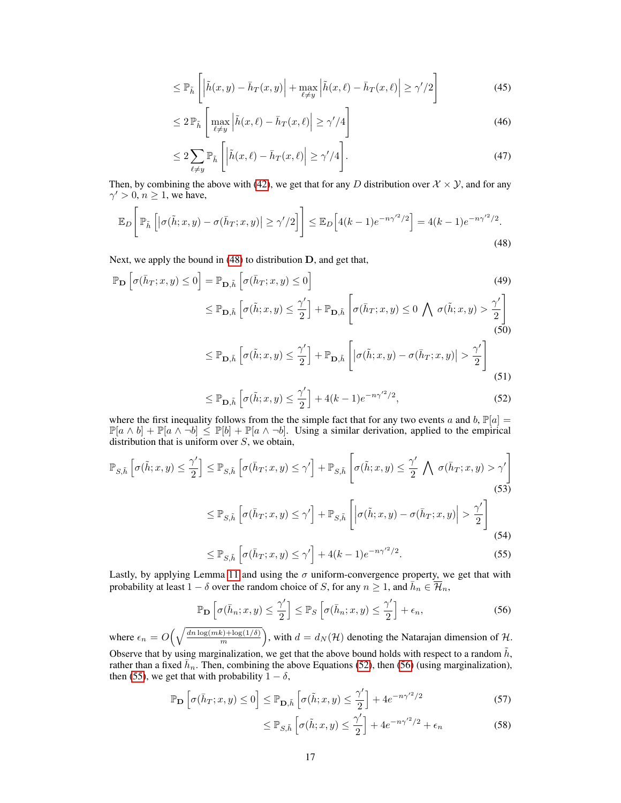$$
\leq \mathbb{P}_{\tilde{h}}\left[\left|\tilde{h}(x,y) - \bar{h}_T(x,y)\right| + \max_{\ell \neq y} \left|\tilde{h}(x,\ell) - \bar{h}_T(x,\ell)\right| \geq \gamma'/2\right]
$$
\n(45)

$$
\leq 2\mathbb{P}_{\tilde{h}}\left[\max_{\ell\neq y}\left|\tilde{h}(x,\ell)-\bar{h}_T(x,\ell)\right|\geq \gamma'/4\right]
$$
\n(46)

$$
\leq 2\sum_{\ell \neq y} \mathbb{P}_{\tilde{h}}\left[ \left| \tilde{h}(x,\ell) - \bar{h}_T(x,\ell) \right| \geq \gamma'/4 \right]. \tag{47}
$$

Then, by combining the above with [\(42\)](#page-4-0), we get that for any D distribution over  $\mathcal{X} \times \mathcal{Y}$ , and for any  $\gamma' > 0, n \ge 1$ , we have,

$$
\mathbb{E}_D\bigg[\mathbb{P}_{\tilde{h}}\left[ \left|\sigma(\tilde{h};x,y) - \sigma(\bar{h}_T;x,y)\right| \ge \gamma'/2 \right] \bigg] \le \mathbb{E}_D\big[4(k-1)e^{-n\gamma'^2/2}\big] = 4(k-1)e^{-n\gamma'^2/2}.
$$
\n(48)

Next, we apply the bound in [\(48\)](#page-5-0) to distribution D, and get that,

$$
\mathbb{P}_{\mathbf{D}}\left[\sigma(\bar{h}_T; x, y) \le 0\right] = \mathbb{P}_{\mathbf{D}, \tilde{h}}\left[\sigma(\bar{h}_T; x, y) \le 0\right]
$$
\n
$$
\le \mathbb{P}_{\mathbf{D}, \tilde{h}}\left[\sigma(\tilde{h}; x, y) \le \frac{\gamma'}{2}\right] + \mathbb{P}_{\mathbf{D}, \tilde{h}}\left[\sigma(\bar{h}_T; x, y) \le 0 \bigwedge \sigma(\tilde{h}; x, y) > \frac{\gamma'}{2}\right]
$$
\n(49)\n(50)

<span id="page-5-0"></span>
$$
\leq \mathbb{P}_{\mathbf{D},\tilde{h}}\left[\sigma(\tilde{h};x,y) \leq \frac{\gamma'}{2}\right] + \mathbb{P}_{\mathbf{D},\tilde{h}}\left[\left|\sigma(\tilde{h};x,y) - \sigma(\bar{h}_T;x,y)\right| > \frac{\gamma'}{2}\right]
$$
\n(51)

<span id="page-5-1"></span>
$$
\leq \mathbb{P}_{\mathbf{D},\tilde{h}}\left[\sigma(\tilde{h};x,y) \leq \frac{\gamma'}{2}\right] + 4(k-1)e^{-n\gamma'^2/2},\tag{52}
$$

where the first inequality follows from the the simple fact that for any two events a and b,  $\mathbb{P}[a] =$  $\mathbb{P}[a \wedge b] + \mathbb{P}[a \wedge \neg b] \le \mathbb{P}[b] + \mathbb{P}[a \wedge \neg b]$ . Using a similar derivation, applied to the empirical distribution that is uniform over  $S$ , we obtain,

$$
\mathbb{P}_{S,\tilde{h}}\left[\sigma(\tilde{h};x,y) \le \frac{\gamma'}{2}\right] \le \mathbb{P}_{S,\tilde{h}}\left[\sigma(\bar{h}_T;x,y) \le \gamma'\right] + \mathbb{P}_{S,\tilde{h}}\left[\sigma(\tilde{h};x,y) \le \frac{\gamma'}{2}\bigwedge \sigma(\bar{h}_T;x,y) > \gamma'\right]
$$
\n(53)

$$
\leq \mathbb{P}_{S,\tilde{h}}\left[\sigma(\bar{h}_T; x, y) \leq \gamma'\right] + \mathbb{P}_{S,\tilde{h}}\left[\left|\sigma(\tilde{h}; x, y) - \sigma(\bar{h}_T; x, y)\right| > \frac{\gamma'}{2}\right]
$$
\n(54)

$$
\leq \mathbb{P}_{S,\tilde{h}}\left[\sigma(\bar{h}_T; x, y) \leq \gamma'\right] + 4(k-1)e^{-n\gamma'^2/2}.\tag{55}
$$

Lastly, by applying Lemma [11](#page-3-1) and using the  $\sigma$  uniform-convergence property, we get that with probability at least  $1 - \delta$  over the random choice of S, for any  $n \ge 1$ , and  $\overline{h}_n \in \overline{\mathcal{H}}_n$ ,

$$
\mathbb{P}_{\mathbf{D}}\left[\sigma(\bar{h}_n; x, y) \le \frac{\gamma'}{2}\right] \le \mathbb{P}_{S}\left[\sigma(\bar{h}_n; x, y) \le \frac{\gamma'}{2}\right] + \epsilon_n,
$$
\n(56)

where  $\epsilon_n = O\left(\sqrt{\frac{dn \log(mk) + \log(1/\delta)}{m}}\right)$  $\binom{n}{m} \frac{\log(1/\delta)}{m}$ , with  $d = d_N(\mathcal{H})$  denoting the Natarajan dimension of  $\mathcal{H}$ . Observe that by using marginalization, we get that the above bound holds with respect to a random  $\tilde{h}$ ,

rather than a fixed  $\bar{h}_n$ . Then, combining the above Equations [\(52\)](#page-5-1), then [\(56\)](#page-5-2) (using marginalization), then [\(55\)](#page-5-3), we get that with probability  $1 - \delta$ ,

$$
\mathbb{P}_{\mathbf{D}}\left[\sigma(\bar{h}_T; x, y) \le 0\right] \le \mathbb{P}_{\mathbf{D}, \tilde{h}}\left[\sigma(\tilde{h}; x, y) \le \frac{\gamma'}{2}\right] + 4e^{-n\gamma'^2/2} \tag{57}
$$

<span id="page-5-3"></span><span id="page-5-2"></span>
$$
\leq \mathbb{P}_{S,\tilde{h}}\left[\sigma(\tilde{h};x,y) \leq \frac{\gamma'}{2}\right] + 4e^{-n\gamma'^2/2} + \epsilon_n \tag{58}
$$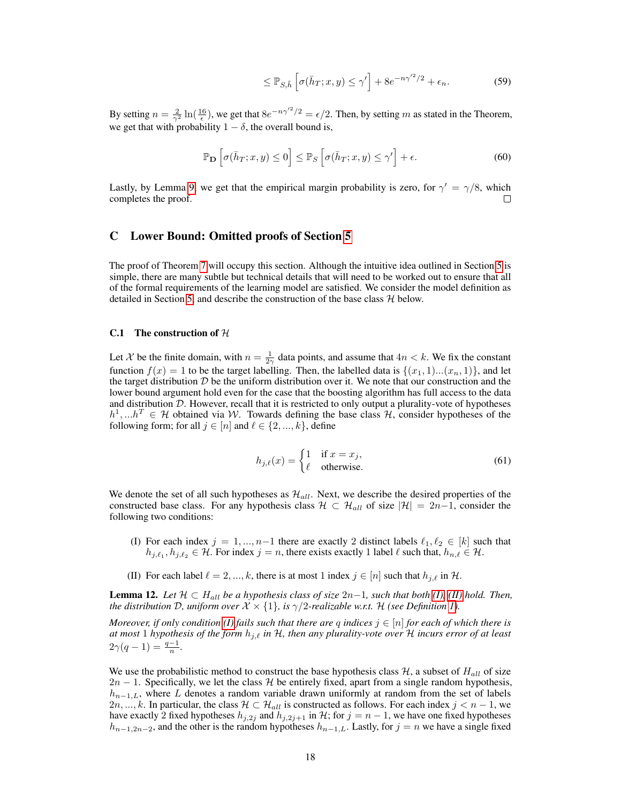$$
\leq \mathbb{P}_{S,\tilde{h}}\left[\sigma(\bar{h}_T; x, y) \leq \gamma'\right] + 8e^{-n\gamma'^2/2} + \epsilon_n. \tag{59}
$$

By setting  $n = \frac{2}{\gamma^2} \ln(\frac{16}{\epsilon})$ , we get that  $8e^{-n\gamma^2/2} = \epsilon/2$ . Then, by setting m as stated in the Theorem, we get that with probability  $1 - \delta$ , the overall bound is,

$$
\mathbb{P}_{\mathbf{D}}\left[\sigma(\bar{h}_T; x, y) \le 0\right] \le \mathbb{P}_{S}\left[\sigma(\bar{h}_T; x, y) \le \gamma'\right] + \epsilon. \tag{60}
$$

Lastly, by Lemma [9,](#page-2-2) we get that the empirical margin probability is zero, for  $\gamma' = \gamma/8$ , which completes the proof. П

## C Lower Bound: Omitted proofs of Section [5](#page--1-10)

The proof of Theorem [7](#page--1-11) will occupy this section. Although the intuitive idea outlined in Section [5](#page--1-10) is simple, there are many subtle but technical details that will need to be worked out to ensure that all of the formal requirements of the learning model are satisfied. We consider the model definition as detailed in Section [5,](#page--1-10) and describe the construction of the base class  $H$  below.

### C.1 The construction of  $H$

Let X be the finite domain, with  $n = \frac{1}{2\gamma}$  data points, and assume that  $4n < k$ . We fix the constant function  $f(x) = 1$  to be the target labelling. Then, the labelled data is  $\{(x_1, 1) \dots (x_n, 1)\}\)$ , and let the target distribution  $D$  be the uniform distribution over it. We note that our construction and the lower bound argument hold even for the case that the boosting algorithm has full access to the data and distribution  $D$ . However, recall that it is restricted to only output a plurality-vote of hypotheses  $h^1,...h^T \in \mathcal{H}$  obtained via W. Towards defining the base class H, consider hypotheses of the following form; for all  $j \in [n]$  and  $\ell \in \{2, ..., k\}$ , define

$$
h_{j,\ell}(x) = \begin{cases} 1 & \text{if } x = x_j, \\ \ell & \text{otherwise.} \end{cases} \tag{61}
$$

We denote the set of all such hypotheses as  $\mathcal{H}_{all}$ . Next, we describe the desired properties of the constructed base class. For any hypothesis class  $\mathcal{H} \subset \mathcal{H}_{all}$  of size  $|\mathcal{H}| = 2n-1$ , consider the following two conditions:

- <span id="page-6-0"></span>(I) For each index  $j = 1, ..., n-1$  there are exactly 2 distinct labels  $\ell_1, \ell_2 \in [k]$  such that  $h_{j,\ell_1}, h_{j,\ell_2} \in \mathcal{H}$ . For index  $j = n$ , there exists exactly 1 label  $\ell$  such that,  $h_{n,\ell} \in \mathcal{H}$ .
- <span id="page-6-1"></span>(II) For each label  $\ell = 2, ..., k$ , there is at most 1 index  $j \in [n]$  such that  $h_{j,\ell}$  in H.

<span id="page-6-2"></span>**Lemma 12.** Let  $H \subset H_{all}$  be a hypothesis class of size  $2n-1$ , such that both [\(I\),](#page-6-0) [\(II\)](#page-6-1) hold. Then, *the distribution*  $D$ *, uniform over*  $\mathcal{X} \times \{1\}$ *, is*  $\gamma/2$ *-realizable* w.r.t.  $\mathcal{H}$  *(see Definition [1\)](#page--1-2).* 

*Moreover, if only condition (I) fails such that there are* q *indices*  $j \in [n]$  *for each of which there is at most* 1 *hypothesis of the form*  $h_{j,\ell}$  *in* H, then any plurality-vote over H incurs error of at least  $2\gamma(q-1) = \frac{q-1}{n}.$ 

We use the probabilistic method to construct the base hypothesis class  $H$ , a subset of  $H_{all}$  of size  $2n - 1$ . Specifically, we let the class H be entirely fixed, apart from a single random hypothesis,  $h_{n-1,L}$ , where L denotes a random variable drawn uniformly at random from the set of labels 2n, ..., k. In particular, the class  $\mathcal{H} \subset \mathcal{H}_{all}$  is constructed as follows. For each index  $j < n - 1$ , we have exactly 2 fixed hypotheses  $h_{j,2j}$  and  $h_{j,2j+1}$  in H; for  $j = n - 1$ , we have one fixed hypotheses  $h_{n-1,2n-2}$ , and the other is the random hypotheses  $h_{n-1,L}$ . Lastly, for  $j = n$  we have a single fixed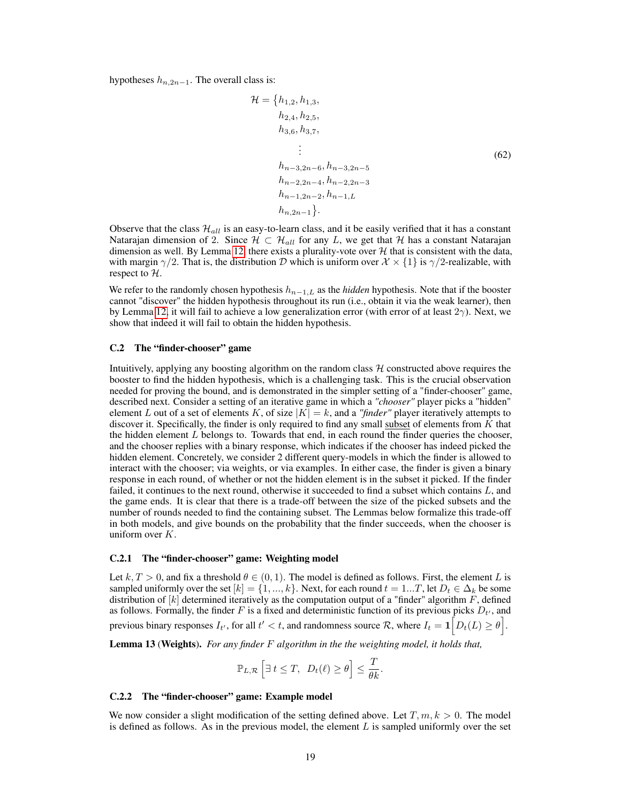hypotheses  $h_{n,2n-1}$ . The overall class is:

<span id="page-7-0"></span>
$$
\mathcal{H} = \{h_{1,2}, h_{1,3},\nh_{2,4}, h_{2,5},\nh_{3,6}, h_{3,7},\n\vdots\nh_{n-3,2n-6}, h_{n-3,2n-5}\nh_{n-2,2n-4}, h_{n-2,2n-3}\nh_{n-1,2n-2}, h_{n-1,L}\nh_{n,2n-1}\}.
$$
\n(62)

Observe that the class  $\mathcal{H}_{all}$  is an easy-to-learn class, and it be easily verified that it has a constant Natarajan dimension of 2. Since  $\mathcal{H} \subset \mathcal{H}_{all}$  for any L, we get that  $\mathcal{H}$  has a constant Natarajan dimension as well. By Lemma [12,](#page-6-2) there exists a plurality-vote over  $H$  that is consistent with the data, with margin  $\gamma/2$ . That is, the distribution D which is uniform over  $\mathcal{X} \times \{1\}$  is  $\gamma/2$ -realizable, with respect to H.

We refer to the randomly chosen hypothesis  $h_{n-1,L}$  as the *hidden* hypothesis. Note that if the booster cannot "discover" the hidden hypothesis throughout its run (i.e., obtain it via the weak learner), then by Lemma [12,](#page-6-2) it will fail to achieve a low generalization error (with error of at least  $2\gamma$ ). Next, we show that indeed it will fail to obtain the hidden hypothesis.

#### C.2 The "finder-chooser" game

Intuitively, applying any boosting algorithm on the random class  $H$  constructed above requires the booster to find the hidden hypothesis, which is a challenging task. This is the crucial observation needed for proving the bound, and is demonstrated in the simpler setting of a "finder-chooser" game, described next. Consider a setting of an iterative game in which a *"chooser"* player picks a "hidden" element L out of a set of elements K, of size  $|K| = k$ , and a "finder" player iteratively attempts to discover it. Specifically, the finder is only required to find any small subset of elements from  $\overline{K}$  that the hidden element  $L$  belongs to. Towards that end, in each round the finder queries the chooser, and the chooser replies with a binary response, which indicates if the chooser has indeed picked the hidden element. Concretely, we consider 2 different query-models in which the finder is allowed to interact with the chooser; via weights, or via examples. In either case, the finder is given a binary response in each round, of whether or not the hidden element is in the subset it picked. If the finder failed, it continues to the next round, otherwise it succeeded to find a subset which contains  $L$ , and the game ends. It is clear that there is a trade-off between the size of the picked subsets and the number of rounds needed to find the containing subset. The Lemmas below formalize this trade-off in both models, and give bounds on the probability that the finder succeeds, when the chooser is uniform over  $K$ .

#### <span id="page-7-2"></span>C.2.1 The "finder-chooser" game: Weighting model

Let  $k, T > 0$ , and fix a threshold  $\theta \in (0, 1)$ . The model is defined as follows. First, the element L is sampled uniformly over the set  $[k] = \{1, ..., k\}$ . Next, for each round  $t = 1...T$ , let  $D_t \in \Delta_k$  be some distribution of  $[k]$  determined iteratively as the computation output of a "finder" algorithm  $F$ , defined as follows. Formally, the finder F is a fixed and deterministic function of its previous picks  $D_{t'}$ , and previous binary responses  $I_{t'}$ , for all  $t' < t$ , and randomness source  $\mathcal{R}$ , where  $I_t = \mathbf{1} \left[ D_t(L) \geq \theta \right]$ .

<span id="page-7-1"></span>Lemma 13 (Weights). *For any finder* F *algorithm in the the weighting model, it holds that,*

$$
\mathbb{P}_{L,\mathcal{R}}\left[\exists t\leq T, D_t(\ell)\geq \theta\right]\leq \frac{T}{\theta k}.
$$

## C.2.2 The "finder-chooser" game: Example model

We now consider a slight modification of the setting defined above. Let  $T, m, k > 0$ . The model is defined as follows. As in the previous model, the element  $L$  is sampled uniformly over the set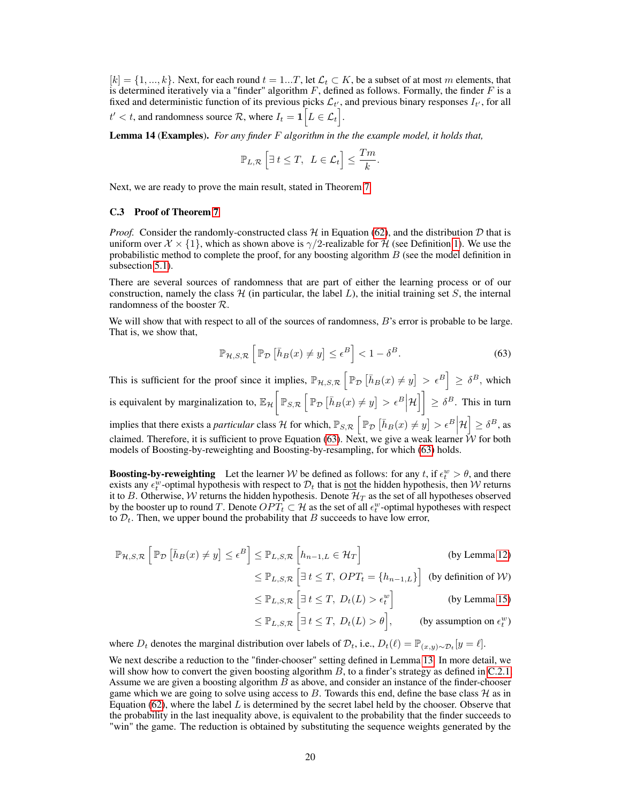$[k] = \{1, ..., k\}$ . Next, for each round  $t = 1...T$ , let  $\mathcal{L}_t \subset K$ , be a subset of at most m elements, that is determined iteratively via a "finder" algorithm  $F$ , defined as follows. Formally, the finder  $F$  is a fixed and deterministic function of its previous picks  $\mathcal{L}_{t'}$ , and previous binary responses  $I_{t'}$ , for all  $t' < t$ , and randomness source  $\mathcal{R}$ , where  $I_t = \mathbf{1} \big[ L \in \mathcal{L}_t \big].$ 

<span id="page-8-1"></span>Lemma 14 (Examples). *For any finder* F *algorithm in the the example model, it holds that,*

$$
\mathbb{P}_{L,\mathcal{R}}\left[\exists \ t\leq T, \ L\in \mathcal{L}_t\right] \leq \frac{Tm}{k}
$$

Next, we are ready to prove the main result, stated in Theorem [7.](#page--1-11)

### C.3 Proof of Theorem [7](#page--1-11)

*Proof.* Consider the randomly-constructed class  $H$  in Equation [\(62\)](#page-7-0), and the distribution  $D$  that is uniform over  $\mathcal{X} \times \{1\}$ , which as shown above is  $\gamma/2$ -realizable for H (see Definition [1\)](#page--1-2). We use the probabilistic method to complete the proof, for any boosting algorithm  $B$  (see the model definition in subsection [5.1\)](#page--1-12).

There are several sources of randomness that are part of either the learning process or of our construction, namely the class  $H$  (in particular, the label L), the initial training set S, the internal randomness of the booster R.

We will show that with respect to all of the sources of randomness,  $B$ 's error is probable to be large. That is, we show that,

<span id="page-8-0"></span>
$$
\mathbb{P}_{\mathcal{H},S,\mathcal{R}}\left[\mathbb{P}_{\mathcal{D}}\left[\bar{h}_B(x)\neq y\right]\leq \epsilon^B\right]<1-\delta^B.
$$
\n(63)

.

This is sufficient for the proof since it implies,  $\mathbb{P}_{H,S,\mathcal{R}}\left[\mathbb{P}_{\mathcal{D}}\left[\bar{h}_B(x) \neq y\right] > \epsilon^B\right] \geq \delta^B$ , which is equivalent by marginalization to,  $\mathbb{E}_{\mathcal{H}}\left[\mathbb{P}_{S,\mathcal{R}}\left[\mathbb{P}_{\mathcal{D}}\left[\bar{h}_B(x)\neq y\right] > \epsilon^B \Big|\mathcal{H}\right]\right] \geq \delta^B$ . This in turn implies that there exists a *particular* class  $\mathcal{H}$  for which,  $\mathbb{P}_{S,\mathcal{R}}\left[\mathbb{P}_{\mathcal{D}}\left[\bar{h}_B(x) \neq y\right] > \epsilon^B \Big| \mathcal{H}\right] \geq \delta^B$ , as claimed. Therefore, it is sufficient to prove Equation [\(63\)](#page-8-0). Next, we give a weak learner  $W$  for both models of Boosting-by-reweighting and Boosting-by-resampling, for which [\(63\)](#page-8-0) holds.

**Boosting-by-reweighting** Let the learner W be defined as follows: for any t, if  $\epsilon_t^w > \theta$ , and there exists any  $\epsilon_t^{\psi}$ -optimal hypothesis with respect to  $\mathcal{D}_t$  that is <u>not</u> the hidden hypothesis, then W returns it to B. Otherwise, W returns the hidden hypothesis. Denote  $\mathcal{H}_T$  as the set of all hypotheses observed by the booster up to round T. Denote  $OPT_t \subset \mathcal{H}$  as the set of all  $\epsilon_t^w$ -optimal hypotheses with respect to  $\mathcal{D}_t$ . Then, we upper bound the probability that B succeeds to have low error,

$$
\mathbb{P}_{\mathcal{H},S,\mathcal{R}}\left[\mathbb{P}_{\mathcal{D}}\left[\bar{h}_B(x)\neq y\right]\leq \epsilon^B\right] \leq \mathbb{P}_{L,S,\mathcal{R}}\left[h_{n-1,L}\in \mathcal{H}_T\right]
$$
 (by Lemma 12)

$$
\leq \mathbb{P}_{L,S,\mathcal{R}}\left[\exists t \leq T, \, OPT_t = \{h_{n-1,L}\}\right] \text{ (by definition of } \mathcal{W})
$$

$$
\leq \mathbb{P}_{L,S,\mathcal{R}}\left[\exists t \leq T, \ D_t(L) > \epsilon_t^w\right]
$$
 (by Lemma 15)

$$
\leq \mathbb{P}_{L,S,\mathcal{R}}\left[\exists t \leq T, \ D_t(L) > \theta\right],\qquad \text{(by assumption on } \epsilon_t^w\text{)}
$$

where  $D_t$  denotes the marginal distribution over labels of  $\mathcal{D}_t$ , i.e.,  $D_t(\ell) = \mathbb{P}_{(x,y)\sim\mathcal{D}_t}[y = \ell].$ 

We next describe a reduction to the "finder-chooser" setting defined in Lemma [13.](#page-7-1) In more detail, we will show how to convert the given boosting algorithm  $B$ , to a finder's strategy as defined in [C.2.1.](#page-7-2) Assume we are given a boosting algorithm  $B$  as above, and consider an instance of the finder-chooser game which we are going to solve using access to B. Towards this end, define the base class  $\mathcal{H}$  as in Equation [\(62\)](#page-7-0), where the label  $L$  is determined by the secret label held by the chooser. Observe that the probability in the last inequality above, is equivalent to the probability that the finder succeeds to "win" the game. The reduction is obtained by substituting the sequence weights generated by the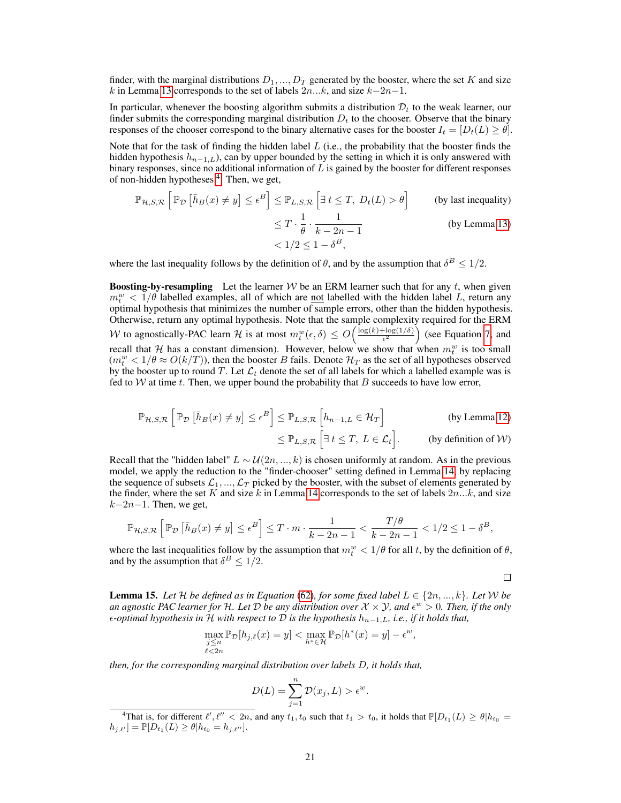finder, with the marginal distributions  $D_1, ..., D_T$  generated by the booster, where the set K and size k in Lemma [13](#page-7-1) corresponds to the set of labels  $2n...k$ , and size  $k-2n-1$ .

In particular, whenever the boosting algorithm submits a distribution  $\mathcal{D}_t$  to the weak learner, our finder submits the corresponding marginal distribution  $D<sub>t</sub>$  to the chooser. Observe that the binary responses of the chooser correspond to the binary alternative cases for the booster  $I_t = [D_t(L) \geq \theta]$ .

Note that for the task of finding the hidden label  $L$  (i.e., the probability that the booster finds the hidden hypothesis  $h_{n-1,L}$ ), can by upper bounded by the setting in which it is only answered with binary responses, since no additional information of  $L$  is gained by the booster for different responses of non-hidden hypotheses <sup>[4](#page-9-1)</sup>. Then, we get,

$$
\mathbb{P}_{\mathcal{H},S,\mathcal{R}}\left[\mathbb{P}_{\mathcal{D}}\left[\bar{h}_B(x) \neq y\right] \leq \epsilon^B\right] \leq \mathbb{P}_{L,S,\mathcal{R}}\left[\exists t \leq T, \ D_t(L) > \theta\right] \qquad \text{(by last inequality)}
$$
\n
$$
\leq T \cdot \frac{1}{\theta} \cdot \frac{1}{k - 2n - 1}
$$
\n
$$
< 1/2 \leq 1 - \delta^B,
$$
\n(by Lemma 13)

where the last inequality follows by the definition of  $\theta$ , and by the assumption that  $\delta^B \leq 1/2$ .

**Boosting-by-resampling** Let the learner W be an ERM learner such that for any t, when given  $m_t^w < 1/\theta$  labelled examples, all of which are <u>not</u> labelled with the hidden label L, return any optimal hypothesis that minimizes the number of sample errors, other than the hidden hypothesis. Otherwise, return any optimal hypothesis. Note that the sample complexity required for the ERM W to agnostically-PAC learn H is at most  $m_t^w(\epsilon, \delta) \le O\left(\frac{\log(k) + \log(1/\delta)}{\epsilon^2}\right)$  $\frac{\log(1/\delta)}{\epsilon^2}$  (see Equation [7,](#page--1-13) and recall that H has a constant dimension). However, below we show that when  $m_t^w$  is too small  $(m_t^w < 1/\theta \approx O(k/T))$ , then the booster B fails. Denote  $\mathcal{H}_T$  as the set of all hypotheses observed by the booster up to round T. Let  $\mathcal{L}_t$  denote the set of all labels for which a labelled example was is fed to W at time t. Then, we upper bound the probability that B succeeds to have low error,

$$
\mathbb{P}_{\mathcal{H},S,\mathcal{R}}\left[\mathbb{P}_{\mathcal{D}}\left[\bar{h}_B(x) \neq y\right] \leq \epsilon^B\right] \leq \mathbb{P}_{L,S,\mathcal{R}}\left[h_{n-1,L} \in \mathcal{H}_T\right] \qquad \text{(by Lemma 12)}
$$

$$
\leq \mathbb{P}_{L,S,\mathcal{R}}\left[\exists t \leq T, \ L \in \mathcal{L}_t\right]. \qquad \text{(by definition of } \mathcal{W})
$$

Recall that the "hidden label"  $L \sim \mathcal{U}(2n, ..., k)$  is chosen uniformly at random. As in the previous model, we apply the reduction to the "finder-chooser" setting defined in Lemma [14,](#page-8-1) by replacing the sequence of subsets  $\mathcal{L}_1, ..., \mathcal{L}_T$  picked by the booster, with the subset of elements generated by the finder, where the set K and size k in Lemma [14](#page-8-1) corresponds to the set of labels  $2n...k$ , and size  $k-2n-1$ . Then, we get,

$$
\mathbb{P}_{\mathcal{H},S,\mathcal{R}}\left[\mathbb{P}_{\mathcal{D}}\left[\bar{h}_B(x) \neq y\right] \leq \epsilon^B\right] \leq T \cdot m \cdot \frac{1}{k - 2n - 1} < \frac{T/\theta}{k - 2n - 1} < 1/2 \leq 1 - \delta^B,
$$

where the last inequalities follow by the assumption that  $m_t^w < 1/\theta$  for all t, by the definition of  $\theta$ , and by the assumption that  $\delta^B \leq 1/2$ .

 $\Box$ 

<span id="page-9-0"></span>**Lemma 15.** Let H be defined as in Equation [\(62\)](#page-7-0), for some fixed label  $L \in \{2n, ..., k\}$ . Let W be an agnostic PAC learner for H. Let  $D$  be any distribution over  $X\times Y$ , and  $\epsilon^w>0$ . Then, if the only *-optimal hypothesis in* H *with respect to* D *is the hypothesis* hn−1,L*, i.e., if it holds that,*

$$
\max_{\substack{j\leq n\\ \ell<2n}} \mathbb{P}_{\mathcal{D}}[h_{j,\ell}(x) = y] < \max_{h^*\in\mathcal{H}} \mathbb{P}_{\mathcal{D}}[h^*(x) = y] - \epsilon^w,
$$

*then, for the corresponding marginal distribution over labels* D*, it holds that,*

$$
D(L) = \sum_{j=1}^{n} \mathcal{D}(x_j, L) > \epsilon^w.
$$

<span id="page-9-1"></span><sup>&</sup>lt;sup>4</sup>That is, for different  $\ell', \ell'' < 2n$ , and any  $t_1, t_0$  such that  $t_1 > t_0$ , it holds that  $\mathbb{P}[D_{t_1}(L) \ge \theta | h_{t_0} =$  $[h_{j,\ell'}] = \mathbb{P}[D_{t_1}(L) \ge \theta | h_{t_0} = h_{j,\ell''}].$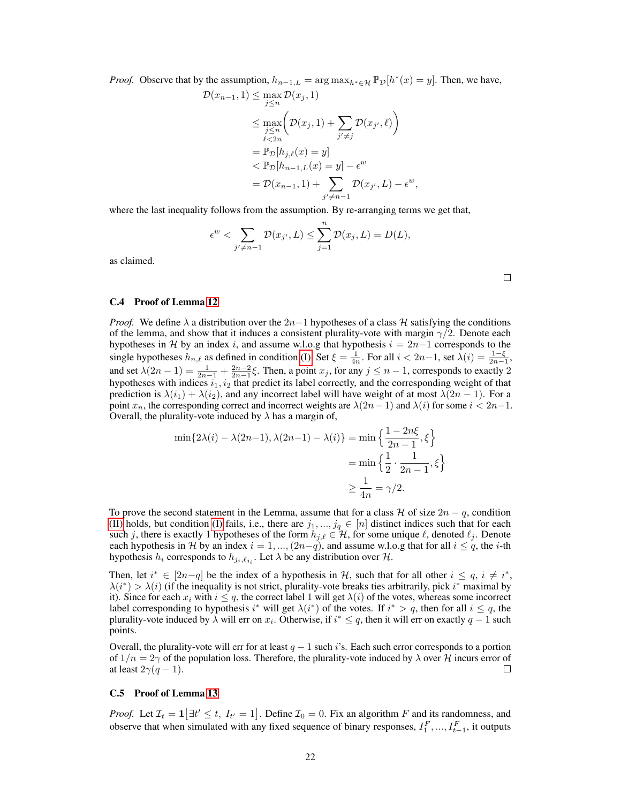*Proof.* Observe that by the assumption,  $h_{n-1,L} = \arg \max_{h^* \in \mathcal{H}} \mathbb{P}_{\mathcal{D}}[h^*(x) = y]$ . Then, we have,

$$
\mathcal{D}(x_{n-1}, 1) \leq \max_{j \leq n} \mathcal{D}(x_j, 1)
$$
\n
$$
\leq \max_{j \leq n} \left( \mathcal{D}(x_j, 1) + \sum_{j' \neq j} \mathcal{D}(x_{j'}, \ell) \right)
$$
\n
$$
= \mathbb{P}_{\mathcal{D}}[h_{j, \ell}(x) = y]
$$
\n
$$
< \mathbb{P}_{\mathcal{D}}[h_{n-1, L}(x) = y] - \epsilon^w
$$
\n
$$
= \mathcal{D}(x_{n-1}, 1) + \sum_{j' \neq n-1} \mathcal{D}(x_{j'}, L) - \epsilon^w,
$$

where the last inequality follows from the assumption. By re-arranging terms we get that,

$$
\epsilon^w < \sum_{j' \neq n-1} \mathcal{D}(x_{j'}, L) \leq \sum_{j=1}^n \mathcal{D}(x_j, L) = D(L),
$$

as claimed.

#### C.4 Proof of Lemma [12](#page-6-2)

*Proof.* We define  $\lambda$  a distribution over the 2n−1 hypotheses of a class H satisfying the conditions of the lemma, and show that it induces a consistent plurality-vote with margin  $\gamma/2$ . Denote each hypotheses in H by an index i, and assume w.l.o.g that hypothesis  $i = 2n-1$  corresponds to the single hypotheses  $h_{n,\ell}$  as defined in condition [\(I\).](#page-6-0) Set  $\xi = \frac{1}{4n}$ . For all  $i < 2n-1$ , set  $\lambda(i) = \frac{1-\xi}{2n-1}$ , and set  $\lambda(2n-1) = \frac{1}{2n-1} + \frac{2n-2}{2n-1}\xi$ . Then, a point  $x_j$ , for any  $j \leq n-1$ , corresponds to exactly 2 hypotheses with indices  $i_1, i_2$  that predict its label correctly, and the corresponding weight of that prediction is  $\lambda(i_1) + \lambda(i_2)$ , and any incorrect label will have weight of at most  $\lambda(2n - 1)$ . For a point  $x_n$ , the corresponding correct and incorrect weights are  $\lambda(2n-1)$  and  $\lambda(i)$  for some  $i < 2n-1$ . Overall, the plurality-vote induced by  $\lambda$  has a margin of,

$$
\min\{2\lambda(i) - \lambda(2n-1), \lambda(2n-1) - \lambda(i)\} = \min\left\{\frac{1-2n\xi}{2n-1}, \xi\right\}
$$

$$
= \min\left\{\frac{1}{2} \cdot \frac{1}{2n-1}, \xi\right\}
$$

$$
\ge \frac{1}{4n} = \gamma/2.
$$

To prove the second statement in the Lemma, assume that for a class H of size  $2n - q$ , condition [\(II\)](#page-6-1) holds, but condition [\(I\)](#page-6-0) fails, i.e., there are  $j_1, ..., j_q \in [n]$  distinct indices such that for each such j, there is exactly 1 hypotheses of the form  $h_{j,\ell} \in \mathcal{H}$ , for some unique  $\ell$ , denoted  $\ell_j$ . Denote each hypothesis in H by an index  $i = 1, ..., (2n-q)$ , and assume w.l.o.g that for all  $i \leq q$ , the *i*-th hypothesis  $h_i$  corresponds to  $h_{j_i, \ell_{j_i}}$ . Let  $\lambda$  be any distribution over  $\mathcal{H}$ .

Then, let  $i^* \in [2n-q]$  be the index of a hypothesis in H, such that for all other  $i \leq q$ ,  $i \neq i^*$ ,  $\lambda(i^*) > \lambda(i)$  (if the inequality is not strict, plurality-vote breaks ties arbitrarily, pick  $i^*$  maximal by it). Since for each  $x_i$  with  $i \leq q$ , the correct label 1 will get  $\lambda(i)$  of the votes, whereas some incorrect label corresponding to hypothesis i<sup>\*</sup> will get  $\lambda(i^*)$  of the votes. If  $i^* > q$ , then for all  $i \leq q$ , the plurality-vote induced by  $\lambda$  will err on  $x_i$ . Otherwise, if  $i^* \leq q$ , then it will err on exactly  $q-1$  such points.

Overall, the plurality-vote will err for at least  $q - 1$  such i's. Each such error corresponds to a portion of  $1/n = 2\gamma$  of the population loss. Therefore, the plurality-vote induced by  $\lambda$  over H incurs error of at least  $2\gamma(q-1)$ .  $\Box$ 

#### C.5 Proof of Lemma [13](#page-7-1)

*Proof.* Let  $\mathcal{I}_t = \mathbf{1} \left[ \exists t' \leq t, I_{t'} = 1 \right]$ . Define  $\mathcal{I}_0 = 0$ . Fix an algorithm F and its randomness, and observe that when simulated with any fixed sequence of binary responses,  $I_1^F, ..., I_{t-1}^F$ , it outputs